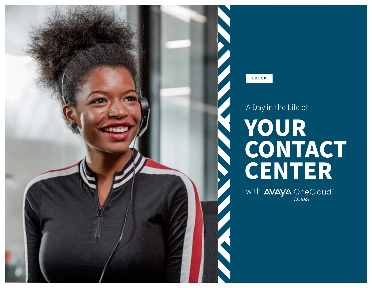EBOOK

# A Day in the Life of YOUR CONTACT CENTER

with AVAYA OneCloud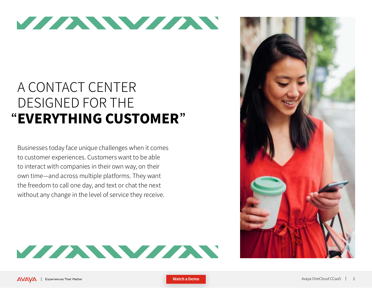

### A CONTACT CENTER DESIGNED FOR THE "EVERYTHING CUSTOMER"

Businesses today face unique challenges when it comes to customer experiences. Customers want to be able to interact with companies in their own way, on their own time—and across multiple platforms. They want the freedom to call one day, and text or chat the next without any change in the level of service they receive.



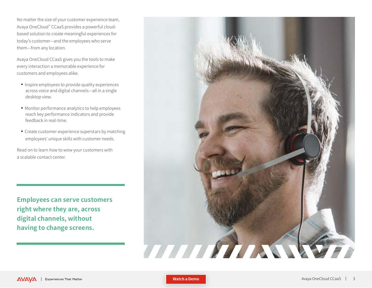No matter the size of your customer experience team, Avaya OneCloud™ CCaaS provides a powerful cloudbased solution to create meaningful experiences for today's customer—and the employees who serve them—from any location.

Avaya OneCloud CCaaS gives you the tools to make every interaction a memorable experience for customers and employees alike.

- **n** Inspire employees to provide quality experiences across voice and digital channels—all in a single desktop view.
- $\blacksquare$  Monitor performance analytics to help employees reach key performance indicators and provide feedback in real-time.
- Create customer-experience superstars by matching employees' unique skills with customer needs.

Read on to learn how to wow your customers with a scalable contact center.

**Employees can serve customers right where they are, across digital channels, without having to change screens.**



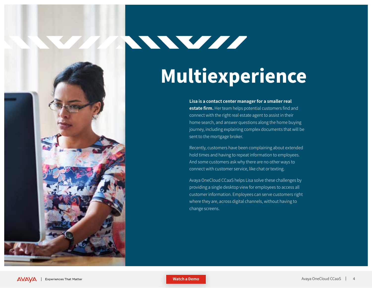# Multiexperience

**Lisa is a contact center manager for a smaller real estate firm.** Her team helps potential customers find and connect with the right real estate agent to assist in their home search, and answer questions along the home buying journey, including explaining complex documents that will be sent to the mortgage broker.

Recently, customers have been complaining about extended hold times and having to repeat information to employees. And some customers ask why there are no other ways to connect with customer service, like chat or texting.

Avaya OneCloud CCaaS helps Lisa solve these challenges by providing a single desktop view for employees to access all customer information. Employees can serve customers right where they are, across digital channels, without having to change screens.



WWW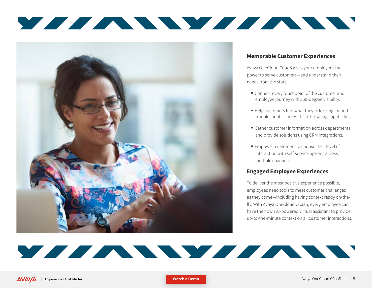



#### Memorable Customer Experiences

Avaya OneCloud CCaaS gives your employees the power to serve customers—and understand their needs from the start.

- Connect every touchpoint of the customer and employee journey with 360-degree visibility.
- Help customers find what they're looking for and troubleshoot issues with co-browsing capabilities.
- **Gather customer information across departments** and provide solutions using CRM integrations.
- **Empower customers to choose their level of** interaction with self-service options across multiple channels.

#### Engaged Employee Experiences

To deliver the most positive experience possible, employees need tools to meet customer challenges as they come—including having context ready on-thefly. With Avaya OneCloud CCaaS, every employee can have their own AI-powered virtual assistant to provide up-to-the-minute context on all customer interactions.

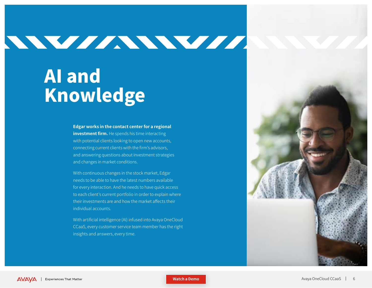# WWWWWWW

### AI and Knowledge

**Edgar works in the contact center for a regional investment firm.** He spends his time interacting with potential clients looking to open new accounts, connecting current clients with the firm's advisors, and answering questions about investment strategies and changes in market conditions.

With continuous changes in the stock market, Edgar needs to be able to have the latest numbers available for every interaction. And he needs to have quick access to each client's current portfolio in order to explain where their investments are and how the market affects their individual accounts.

With artificial intelligence (AI) infused into Avaya OneCloud CCaaS, every customer service team member has the right insights and answers, every time.

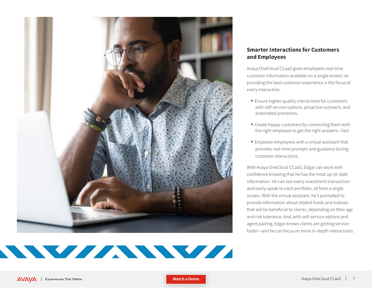

### NY MARIA WA MARIA WA MARIA WA 2009

#### Smarter Interactions for Customers and Employees

Avaya OneCloud CCaaS gives employees real-time customer information available on a single screen, so providing the best customer experience is the focus of every interaction.

- **Ensure higher-quality interactions for customers** with self-service options, proactive outreach, and automated processes.
- $\blacksquare$  Create happy customers by connecting them with the right employee to get the right answers—fast.
- **Empower employees with a virtual assistant that** provides real-time prompts and guidance during customer interactions.

With Avaya OneCloud CCaaS, Edgar can work with confidence knowing that he has the most up-to-date information. He can see every investment transaction and easily speak to each portfolio, all from a single screen. With the virtual assistant, he's prompted to provide information about related funds and indexes that will be beneficial to clients, depending on their age and risk tolerance. And, with self-service options and agent pairing, Edgar knows clients are getting service faster—and he can focus on more in-depth interactions.

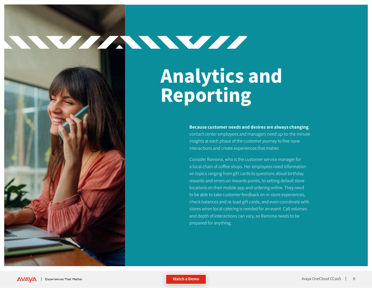### WEITHERST

Analytics and Reporting

> **Because customer needs and desires are always changing**, contact center employees and managers need up-to-the minute insights at each phase of the customer journey to fine-tune interactions and create experiences that matter.

Consider Ramona, who is the customer service manager for a local chain of coffee shops. Her employees need information on topics ranging from gift cards to questions about birthday rewards and errors on rewards points, to setting default store locations on their mobile app and ordering online. They need to be able to take customer feedback on in-store experiences, check balances and re-load gift cards, and even coordinate with stores when local catering is needed for an event. Call volumes and depth of interactions can vary, so Ramona needs to be prepared for anything.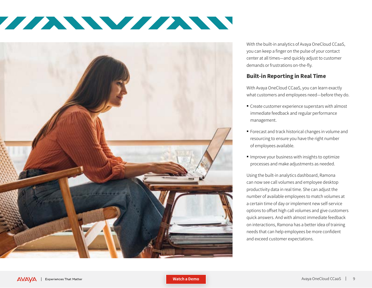



With the built-in analytics of Avaya OneCloud CCaaS, you can keep a finger on the pulse of your contact center at all times—and quickly adjust to customer demands or frustrations on-the-fly.

#### Built-in Reporting in Real Time

With Avaya OneCloud CCaaS, you can learn exactly what customers and employees need—before they do.

- $\blacksquare$  Create customer experience superstars with almost immediate feedback and regular performance management.
- <sup>n</sup> Forecast and track historical changes in volume and resourcing to ensure you have the right number of employees available.
- $\blacksquare$  Improve your business with insights to optimize processes and make adjustments as needed.

Using the built-in analytics dashboard, Ramona can now see call volumes and employee desktop productivity data in real time. She can adjust the number of available employees to match volumes at a certain time of day or implement new self-service options to offset high call volumes and give customers quick answers. And with almost immediate feedback on interactions, Ramona has a better idea of training needs that can help employees be more confident and exceed customer expectations.

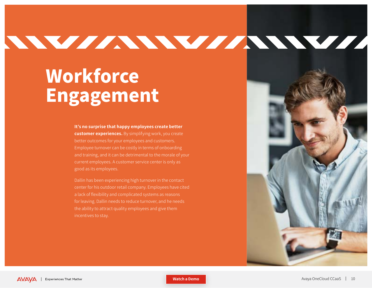# NNV/ANNV/ANNV/AN

### **Workforce** Engagement

**It's no surprise that happy employees create better customer experiences.** By simplifying work, you create better outcomes for your employees and customers. Employee turnover can be costly in terms of onboarding and training, and it can be detrimental to the morale of your current employees. A customer service center is only as good as its employees.

Dallin has been experiencing high turnover in the contact center for his outdoor retail company. Employees have cited a lack of flexibility and complicated systems as reasons for leaving. Dallin needs to reduce turnover, and he needs the ability to attract quality employees and give them

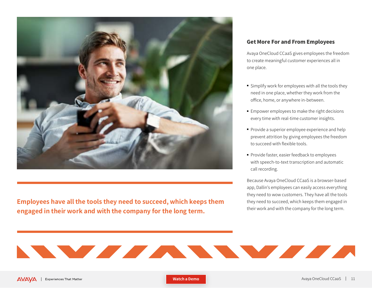

**Employees have all the tools they need to succeed, which keeps them engaged in their work and with the company for the long term.** 

#### Get More For and From Employees

Avaya OneCloud CCaaS gives employees the freedom to create meaningful customer experiences all in one place.

- **Examplify work for employees with all the tools they** need in one place, whether they work from the office, home, or anywhere in-between.
- **Empower employees to make the right decisions** every time with real-time customer insights.
- Provide a superior employee experience and help prevent attrition by giving employees the freedom to succeed with flexible tools.
- **Provide faster, easier feedback to employees** with speech-to-text transcription and automatic call recording.

Because Avaya OneCloud CCaaS is a browser-based app, Dallin's employees can easily access everything they need to wow customers. They have all the tools they need to succeed, which keeps them engaged in their work and with the company for the long term.



**[Watch a Demo](http://avaya.com)**